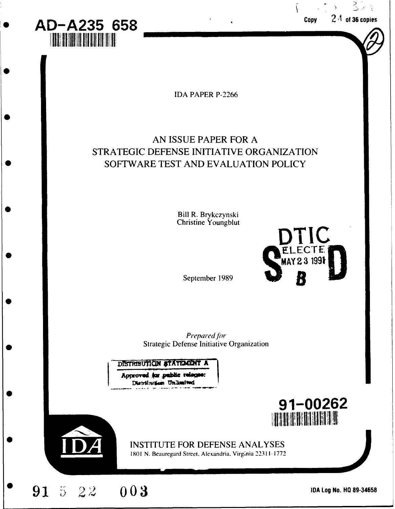| AD-A235 658<br><b>THE REAL PROPERTY</b>                                                                                       | 37.<br>$2\AA$ of 36 copies<br>Copy                                                                                               |
|-------------------------------------------------------------------------------------------------------------------------------|----------------------------------------------------------------------------------------------------------------------------------|
| <b>IDA PAPER P-2266</b>                                                                                                       |                                                                                                                                  |
| AN ISSUE PAPER FOR A<br>STRATEGIC DEFENSE INITIATIVE ORGANIZATION<br>SOFTWARE TEST AND EVALUATION POLICY                      |                                                                                                                                  |
| Bill R. Brykczynski<br>Christine Youngblut                                                                                    | DTIC                                                                                                                             |
| September 1989                                                                                                                | <b>ELECTE</b><br>MAY 23 1991                                                                                                     |
| Prepared for<br><b>Strategic Defense Initiative Organization</b><br>DISTRIBUTION STATEMENT A<br>Approved for public relages:  |                                                                                                                                  |
| Distribution Unismited<br><b>INSTITUTE FOR DEFENSE ANALYSES</b><br>1801 N. Beauregard Street, Alexandria, Virginia 22311-1772 | 91-00262<br><b>TAR DE LA BELLA DE LA BELLA DE LA BELLA DE LA BELLA DE LA BELLA DE LA BELLA DE LA BELLA DE LA BELLA DE LA BEL</b> |
| 003<br>$91\,5\,22$                                                                                                            | IDA Log No. HQ 89-34658                                                                                                          |

 $\mathbf{\mathbf{I}}$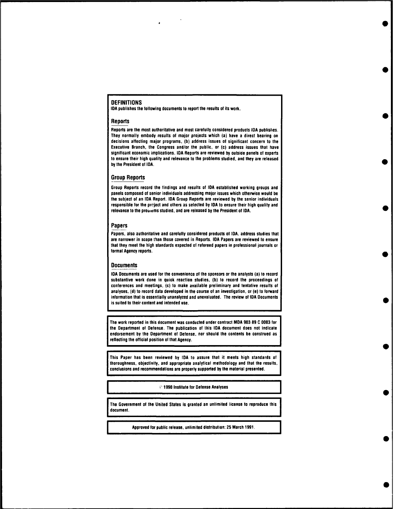#### **DEFINITIONS**

**IDA** publishes the following documents to report the results of its work.

#### Reports

Reports are the most authoritative and most carefully considered products **IDA** publishes. They normally embody results **of** major projects which (a) have a direct bearing on decisions affecting major programs, **(b)** address issues **of** significant concern to the Executive Branch, the Congress and/or the public, or **(c)** address issues that have significant economic implications. **IDA** Reports are reviewed **by** outside panels **of** experts to ensure their high quality and relevance to the problems studied, and they are released **by** the President of **IDA.**

#### Group Reports

Group Reports record the findings and results **of IDA** established working groups and panels composed **of** senior individuals addressing major issues which otherwise would be the subject **of** an **IDA** Report. **IDA** Group Reports are reviewed **by** the senior individuals responsible for the prrject and others as selected **by IDA** to ensure their high quality and relevance to the prouiems studied, and are released **by** the President **of IDA.**

#### Papers

Papers, also authoritative and carefully considered products **of IDA,** address studies that are narrower in scope than those covered in Reports. **IDA** Papers are reviewed **to** ensure that they meet the high standards expected **of** refereed papers in professional journals or formal Agency reports.

#### **Documents**

**IDA** Documents are used for the convenience of the sponsors or the analysts (a) to record substantive work done in quick reaction studies, **(b)** to record the proceedings of conferences and meetings, (c) to make available preliminary and tentative results **of** analyses, **(d)** to record data developed in the course of an investigation, or (e) to forward information that is essentially unanalyzed and unevaluated. The review of **IDA** Documents is suited to their content and intended use.

The work reported in this document was conducted under contract MDA **903 89 C 0003** for the Department of Defense. The publication **of** this **IDA** document does not indicate endorsement **by** the Department of Defense, nor should the contents be construed as reflecting the official position of that Agency.

This Paper has been reviewed **by IDA to** assure that it meets high standards of thoroughness, objectivity, and appropriate analytical methodology and that the results, conclusions and recommendations are properly supported **by** the material presented.

o **1990** Institute for Defense Analyses

The Government of the United States is granted an unlimited license to reproduce this document.

Approved for public release, unlimited distribution: **25** March **1991.**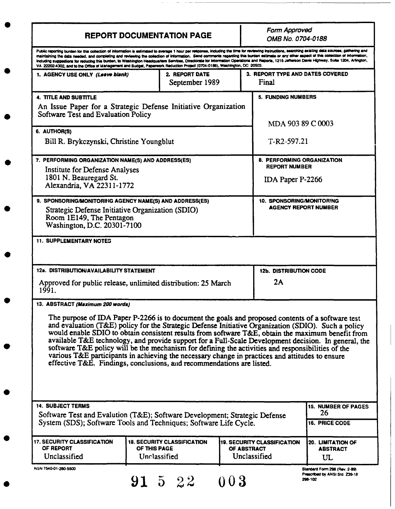|                                                                                                                                                                                                                                                                                                                                                                                                                                                                                                                                                                                                                                                                                                                                            |              | <b>REPORT DOCUMENTATION PAGE</b>                   |             | Form Approved<br>OMB No. 0704-0188                                            |                                                                            |
|--------------------------------------------------------------------------------------------------------------------------------------------------------------------------------------------------------------------------------------------------------------------------------------------------------------------------------------------------------------------------------------------------------------------------------------------------------------------------------------------------------------------------------------------------------------------------------------------------------------------------------------------------------------------------------------------------------------------------------------------|--------------|----------------------------------------------------|-------------|-------------------------------------------------------------------------------|----------------------------------------------------------------------------|
| Public reporting burden for this collection of information is estimated to average 1 hour per response, including the time for reviewing instructions, searching existing data sources, gathering and<br>maintaining the data needed, and completing and reviewing the collection of information. Send comments regarding this burden estimate or any other aspect of this collection of information,<br>including suggestions for reducing this burden, to Washington Headquarters Services, Directorate for Information Operations and Reports, 1215 Jefferson Davis Highway, Suite 1204, Artington,<br>VA 22202-4302, and to the Office of Management and Budget, Paperwork Reduction Project (0704-0188), Washington, DC 20503.        |              |                                                    |             |                                                                               |                                                                            |
| 1. AGENCY USE ONLY (Leave blank)                                                                                                                                                                                                                                                                                                                                                                                                                                                                                                                                                                                                                                                                                                           |              | 2. REPORT DATE<br>September 1989                   |             | 3. REPORT TYPE AND DATES COVERED<br>Final                                     |                                                                            |
| <b>4. TITLE AND SUBTITLE</b><br>An Issue Paper for a Strategic Defense Initiative Organization<br>Software Test and Evaluation Policy                                                                                                                                                                                                                                                                                                                                                                                                                                                                                                                                                                                                      |              |                                                    |             | <b>5. FUNDING NUMBERS</b><br>MDA 903 89 C 0003                                |                                                                            |
| 6. AUTHOR(S)<br>Bill R. Brykczynski, Christine Youngblut                                                                                                                                                                                                                                                                                                                                                                                                                                                                                                                                                                                                                                                                                   |              |                                                    |             | $T-R2-597.21$                                                                 |                                                                            |
| 7. PERFORMING ORGANIZATION NAME(S) AND ADDRESS(ES)<br><b>Institute for Defense Analyses</b><br>1801 N. Beauregard St.<br>Alexandria, VA 22311-1772                                                                                                                                                                                                                                                                                                                                                                                                                                                                                                                                                                                         |              |                                                    |             | <b>8. PERFORMING ORGANIZATION</b><br><b>REPORT NUMBER</b><br>IDA Paper P-2266 |                                                                            |
| 9. SPONSORING/MONITORING AGENCY NAME(S) AND ADDRESS(ES)<br>Strategic Defense Initiative Organization (SDIO)<br>Room 1E149, The Pentagon<br>Washington, D.C. 20301-7100                                                                                                                                                                                                                                                                                                                                                                                                                                                                                                                                                                     |              |                                                    |             | <b>10. SPONSORING/MONITORING</b><br><b>AGENCY REPORT NUMBER</b>               |                                                                            |
| <b>12a. DISTRIBUTION/AVAILABILITY STATEMENT</b><br>Approved for public release, unlimited distribution: 25 March<br>1991.                                                                                                                                                                                                                                                                                                                                                                                                                                                                                                                                                                                                                  |              |                                                    |             | <b>12b. DISTRIBUTION CODE</b><br>2Α                                           |                                                                            |
| 13. ABSTRACT (Maximum 200 words)<br>The purpose of IDA Paper P-2266 is to document the goals and proposed contents of a software test<br>and evaluation (T&E) policy for the Strategic Defense Initiative Organization (SDIO). Such a policy<br>would enable SDIO to obtain consistent results from software T&E, obtain the maximum benefit from<br>available T&E technology, and provide support for a Full-Scale Development decision. In general, the<br>software T&E policy will be the mechanism for defining the activities and responsibilities of the<br>various T&E participants in achieving the necessary change in practices and attitudes to ensure<br>effective T&E. Findings, conclusions, and recommendations are listed. |              |                                                    |             |                                                                               |                                                                            |
| <b>14. SUBJECT TERMS</b><br>Software Test and Evalution (T&E); Software Development; Strategic Defense<br>System (SDS); Software Tools and Techniques; Software Life Cycle.                                                                                                                                                                                                                                                                                                                                                                                                                                                                                                                                                                |              |                                                    |             |                                                                               | <b>15. NUMBER OF PAGES</b><br>26<br>16. PRICE CODE                         |
| <b>17. SECURITY CLASSIFICATION</b><br>OF REPORT<br>Unclassified                                                                                                                                                                                                                                                                                                                                                                                                                                                                                                                                                                                                                                                                            | OF THIS PAGE | <b>18. SECURITY CLASSIFICATION</b><br>Unclassified | OF ABSTRACT | <b>19. SECURITY CLASSIFICATION</b><br>Unclassified                            | 20. LIMITATION OF<br><b>ABSTRACT</b><br>UL                                 |
| NSN 7540-01-280-5500                                                                                                                                                                                                                                                                                                                                                                                                                                                                                                                                                                                                                                                                                                                       |              | 91 5 22                                            | 003         |                                                                               | Standard Form 298 (Rev. 2-89)<br>Prescribed by ANSI Std. Z39-18<br>298-102 |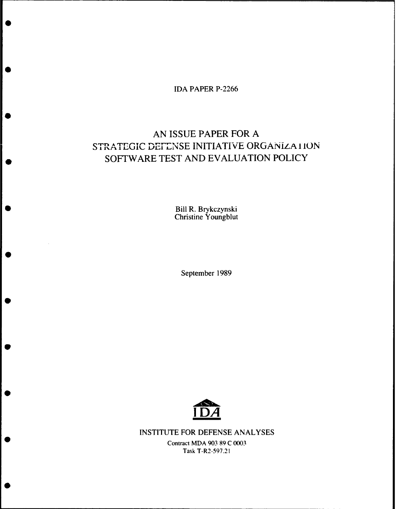IDA PAPER **P-2266**

# **AN ISSUE** PAPER FOR **A** STRATEGIC DEFENSE INITIATIVE ORGANIZATION \* SOFTWARE **TEST AND EVALUATION** POLICY

**EXAMPLE BILL R. Brykczynsk** Christine Youngblut

September **1989**



**INSTITUTE** FOR **DEFENSE ANALYSES**

Contract MDA **903 89 C 0003** Task T-R2-597.21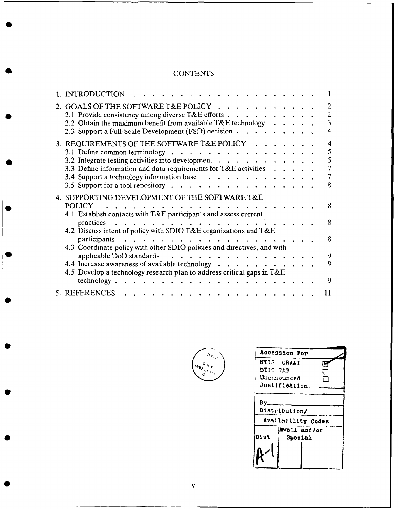# **CONTENTS**

 $\sim$   $\sim$ 

| 1. INTRODUCTION                                                                                                                       |  |   |
|---------------------------------------------------------------------------------------------------------------------------------------|--|---|
| 2. GOALS OF THE SOFTWARE T&E POLICY                                                                                                   |  |   |
| 2.1 Provide consistency among diverse $T\&E$ efforts $\cdots$ , $\cdots$ , $\cdots$                                                   |  |   |
| 2.2 Obtain the maximum benefit from available T&E technology                                                                          |  |   |
| 2.3 Support a Full-Scale Development (FSD) decision                                                                                   |  |   |
| 3. REQUIREMENTS OF THE SOFTWARE T&E POLICY                                                                                            |  | 4 |
| 3.1 Define common terminology $\cdot \cdot \cdot \cdot \cdot \cdot \cdot \cdot \cdot \cdot \cdot \cdot \cdot \cdot \cdot \cdot \cdot$ |  |   |
| 3.2 Integrate testing activities into development $\cdot \cdot \cdot \cdot \cdot \cdot \cdot \cdot \cdot \cdot$                       |  | ٢ |
| 3.3 Define information and data requirements for $T\&E$ activities                                                                    |  |   |
|                                                                                                                                       |  |   |
| 3.4 Support a technology information base                                                                                             |  |   |
| 3.5 Support for a tool repository $\cdot \cdot \cdot \cdot \cdot \cdot \cdot$                                                         |  | 8 |
| 4. SUPPORTING DEVELOPMENT OF THE SOFTWARE T&E                                                                                         |  |   |
| <b>POLICY</b>                                                                                                                         |  |   |
| 4.1 Establish contacts with T&E participants and assess current                                                                       |  |   |
|                                                                                                                                       |  | 8 |
| practices                                                                                                                             |  |   |
| 4.2 Discuss intent of policy with SDIO T&E organizations and T&E                                                                      |  |   |
| participants                                                                                                                          |  | 8 |
| 4.3 Coordinate policy with other SDIO policies and directives, and with                                                               |  |   |
| applicable DoD standards<br>$\sim$ $\sim$ $\sim$ $\sim$ $\sim$ $\sim$                                                                 |  | 9 |
| 4.4 Increase awareness of available technology $\cdot \cdot \cdot \cdot \cdot \cdot \cdot$                                            |  | 9 |
|                                                                                                                                       |  |   |
| 4.5 Develop a technology research plan to address critical gaps in $T\&E$                                                             |  |   |
| technology.<br><b>Contract Contract Contract</b>                                                                                      |  | Q |
| 5. REFERENCES                                                                                                                         |  |   |



| Accession For                                         |
|-------------------------------------------------------|
| NTIS GRA&I<br>DTIC TAB<br>Unamounced<br>Justifi&Ation |
| By<br>Distribution/                                   |
| Availability Codes<br>Dist                            |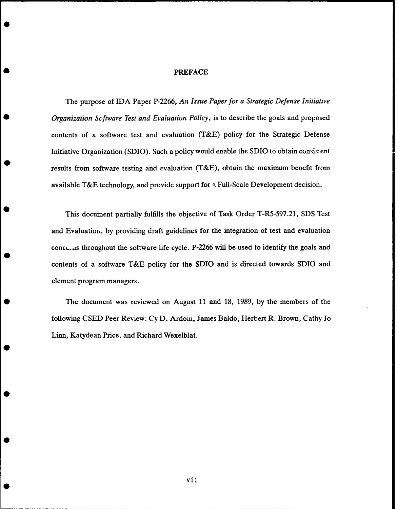## **PREFACE**

The purpose of IDA Paper **P-2266,** *An Issue Paper for a Strategic Defense Initiative Organization Software Test and Evaluation Policy,* is to describe the goals and proposed contents of a software test and evaluation (T&E) policy for the Strategic Defense Initiative Organization (SDIO). Such a policy would enable the SDIO to obtain consistent results from software testing and evaluation (T&E), obtain the maximum benefit from available T&E technology, and provide support for **k** Full-Scale Development decision.

This document partially fulfills the objective of Task Order T-R5-597.21, SDS Test and Evaluation, by providing draft guidelines for the integration of test and evaluation conc,..ds throughout the software life cycle. P-2266 will be used to identify the goals and contents of a software T&E policy for the SDIO and is directed towards SDIO and element program managers.

The document was reviewed on August 11 and 18, 1989, by the members of the following CSED Peer Review: Cy D. Ardoin, James Baldo, Herbert R. Brown, Cathy Jo Linn, Katydean Price, and Richard Wexelblat.

vii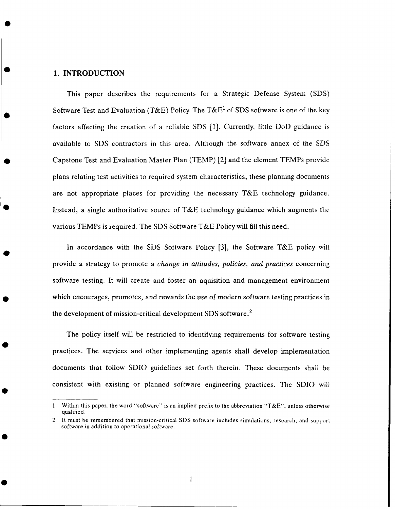## **1.** INTRODUCTION

This paper describes the requirements for a Strategic Defense System (SDS) Software Test and Evaluation (T&E) Policy. The T&E<sup>1</sup> of SDS software is one of the key factors affecting the creation of a reliable SDS [1]. Currently, little DoD guidance is available to SDS contractors in this area. Although the software annex of the SDS **0** Capstone Test and Evaluation Master Plan (TEMP) [2] and the element TEMPs provide plans relating test activities to required system characteristics, these planning documents are not appropriate places for providing the necessary  $T\&E$  technology guidance. Instead, a single authoritative source of T&E technology guidance which augments the various TEMPs is required. The SDS Software T&E Policy will fill this need.

In accordance with the SDS Software Policy [3], the Software T&E policy will provide a strategy to promote a *change in attitudes, policies, and practices* concerning software testing. It will create and foster an aquisition and management environment which encourages, promotes, and rewards the use of modern software testing practices in the development of mission-critical development SDS software. <sup>2</sup>

The policy itself will be restricted to identifying requirements for software testing **<sup>0</sup>** practices. The services and other implementing agents shall develop implementation documents that follow SDIO guidelines set forth therein. These documents shall be consistent with existing or planned software engineering practices. The SDIO will

 $\mathbf{1}$ 

**<sup>1.</sup>** Within this paper, the word "software" is an implied prefix to the abbreviation "T&E", unless otherwise qualified.

<sup>2.</sup> It must be remembered that mission-critical SDS software includes simulations, research, and support software in addition *to* operational software.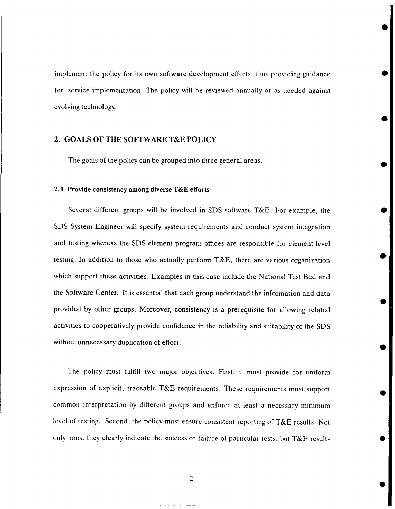implement the policy for its own software development efforts, thus providing guidance **0** for service implementation. The policy will be reviewed annually or as needed against evolving technology.

## 2. **GOALS** OF THE SOFTWARE **T&E** POLICY

The goals of the policy can be grouped into three general areas.

## 2.1 Provide consistency **among** diverse **T&E** efforts

Several different groups will be involved in SDS software T&E. For example, the **6** SDS System Engineer will specify system requirements and conduct system integration and testing whereas the SDS element program offices are responsible for element-level testing. In addition to those who actually perform T&E, there are various organization which support these activities. Examples in this case include the National Test Bed and the Software Center. It is essential that each group understand the information and data provided by other groups. Moreover, consistency is a prerequisite for allowing related activities to cooperatively provide confidence in the reliability and suitability of the SDS without unnecessary duplication of effort.

The policy must fulfill two major objectives. First, it must provide for uniform expression of explicit, traceable T&E requirements. These requirements must support common interpretation by different groups and enforce at least a necessary minimum level of testing. Second, the policy must ensure consistent reporting of T&E results. Not only must they clearly indicate the success or failure of particular tests, but T&E results **0**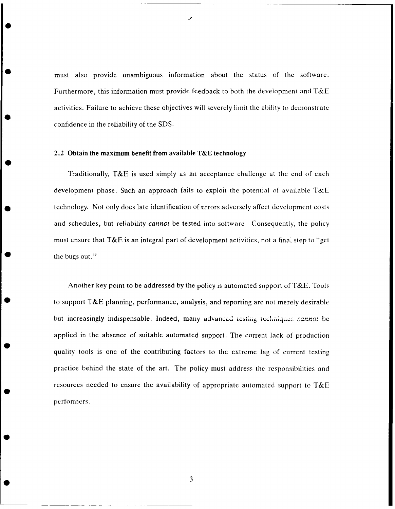must also provide unambiguous information about the status of the software. Furthermore, this information must provide feedback to both the development and T&E activities. Failure to achieve these objectives will severely limit the ability to demonstrate confidence in the reliability of the SDS.

## 2.2 **Obtain the maximum benefit from available T&E technology**

Traditionally, T&E is used simply as an acceptance challenge at the end of each development phase. Such an approach fails to exploit the potential of available T&E technology. Not only does late identification of errors adversely affect development costs and schedules, but reliability *cannot* be tested into software. Consequently, the policy must ensure that T&E is an integral part of development activities, not a final step to "get the bugs out."

Another key point to be addressed by the policy is automated support of T&E. Tools to support T&E planning, performance, analysis, and reporting are not merely desirable but increasingly indispensable. Indeed, many advanced testing techniques cannot be applied in the absence of suitable automated support. The current lack of production quality tools is one of the contributing factors to the extreme lag of current testing practice behind the state of the art. The policy must address the responsibilities and resources needed to ensure the availability of appropriate automated support to **T&E** performers.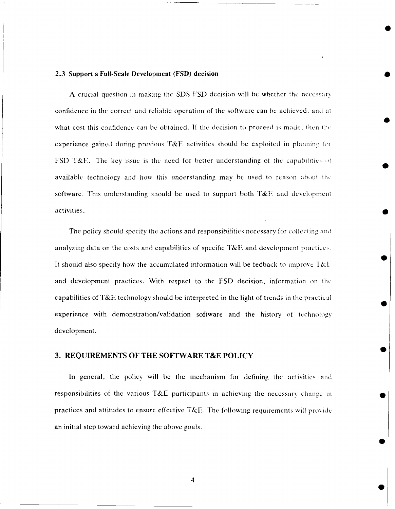# **2.3 Support a Full-Scale Development (FSD) decision**

A crucial question in making the SDS **SD** decision will be whether the neccssarr confidence in the correct and reliable operation of the software can be achieved, and **at** what cost this confidence can be obtained. If the decision to proceed is made. then thc experience gained during previous T&E activities should be exploited in planning for FSD T&E. The key issue is the need for better understanding of the capabilities of available technology and how this understanding may be used to reason about **thc** software. This understanding should be used to support both  $T\&E$  and development activities. **0**

**0**

The policy should specify the actions and responsibilities necessary for collecting and analyzing data on the costs and capabilities of specific  $T\&E$  and development practices. It should also specify how the accumulated information will be fedback to improve  $T\&\bar{F}$ and development practices. With respect to the FSD decision, information on the capabilities of *T&E* technology should be interpreted in the light of trends in the practical experience with demonstration/validation software and the history of technology development.

## **3. REQUIREMENTS** OF THE SOFTWARE **T&E** POLICY

In general, the policy will be the mechanism for defining the activities and responsibilities of the various T&E participants in achieving the necessary change **in** practices and attitudes to ensure effective T&E. The following requirements will provide an initial step toward achieving the above goals.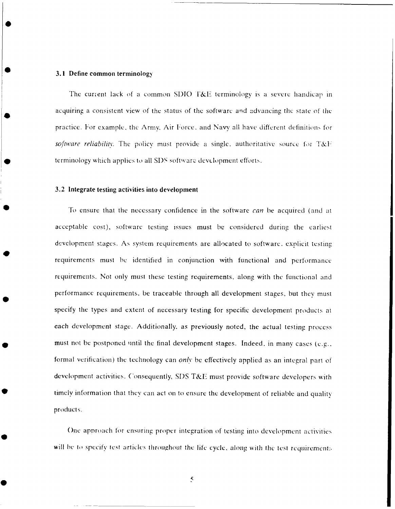#### **3.1 Define common terminology**

The current lack of a common SDIO T&E terminology is a severe handicap in acquiring a consistent view of the status of the software and advancing the state of thc practice. For example, the Army, Air Force, and Navy all have different dcfinition, for software reliability. The policy must provide a single, authoritative source for T&F. terminology which applies to all SDS software development efforts.

#### **3.2 Integrate testing activities into development**

**Fo** ensure that the necessary confidence in the software can be acquired (and at acceptable cost), softwarc testing issues must be considered during the earliest development stages. As system requirements are allocated to software. exnlicit testine requirements must be identified in conjunction with functional and performance requirements. Not only must these testing requirements, along with the functional and performance requirements, be traceable through all development stages, but they must specify **the** types and extent of necessary testing for specific development products at each development stage. Additionally. as previously noted, the actual testing process must not be postponed until the final development stages. Indeed, in many cases (e.g., formal verification) **the** technology can *onlY* be effectively applied as an integral part of development activities. Consequently, SI)S *T&E* must provide software developers with timely information that they can act on to ensure the development of reliable and quality products.

One apnroach for ensuring proper integration of testing into development activities will be to specify test articles throughout the life cycle, along with the test requirements

 $\zeta$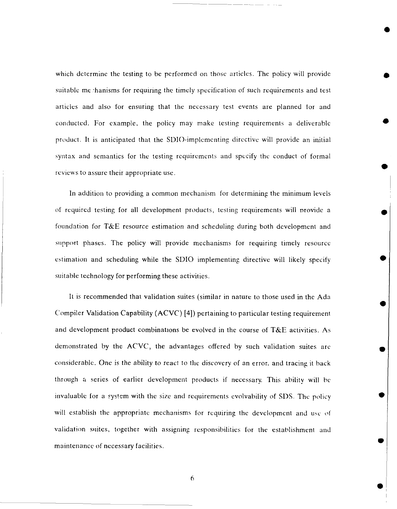which determine the testing to be performed on those articles. The policy will provide suitable me 'hanisms for requiring the timely specification of such requirements and test articles and also for ensuring that the necessary test events are planned tor and conducted. For example, the policy may make testing requirements a deliverable product. It is anticipated that the SDIO-implementing directive will provide an initial syntax and semantics for the testing requirements and specify the conduct of formal reviews to assure their appropriate use.

In addition to providing a common mechanism for determining the minimum levels of required testing for all development products, testing requirements will nrovide a foundation for T&E resource estimation and scheduling during both development and support phases. The policy will provide mechanisms for requiring timely resource estimation and scheduling while the SDIO implementing directive will likely specify suitable technology for performing these activities.

It is recommended that validation suites (similar in nature to those used in the Ada Compiler Validation Capability (ACVC) [4]) pertaining to particular testing requirement and development product combinations be evolved in the course of T&E activities. As demonstrated by the ACVC, the advantages offered by such validation suites arc considerable. One is the ability to react to the discovery of an error. and tracing it back through a series of earlier development products if necessary. This ability will be invaluable for a system with the size and requirements evolvability of SI)S. The policy will establish the appropriate mechanisms for requiring the development and use of validation suites, together with assigning responsibilities for the establishment and maintenance of necessary facilities.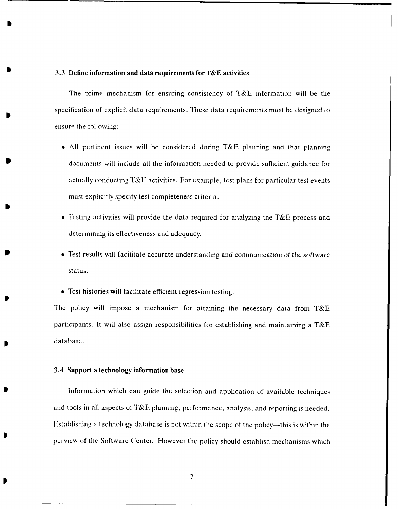#### **3.3** Define information and data requirements for **T&E** activities

The prime mechanism for ensuring consistency of **T&E** information will be the specification of explicit data requirements. These data requirements must be designed to ensure the following:

- \* **All** pertinent issues will be considered during **T&E** planning and that planning documents will include all the information needed to provide sufficient guidance for actually conducting **T&E** activities. For example, test plans for particular test events must explicitly specify test completeness criteria.
- \* **Testing** activities will provide the data required for analyzing the **T&E** process and determining its effectiveness and adequacy.
- **9** Test results will facilitate accurate understanding and communication of the software status.
- **\*** Test histories will facilitate efficient regression testing.

The policy will impose a mechanism for attaining the necessary data from **T&E** participants. It will also assign responsibilities for establishing and maintaining a **T&E** database.

#### 3.4 Support a technology information base

Information which can **guide** the selection and application of available techniques and tools in all aspects of **T&E** planning, performance, analysis, and reporting is needed. Istablishing a technology database is not within the scope of the policy-this is within the purview of the Software Center. However the policy should establish mechanisms which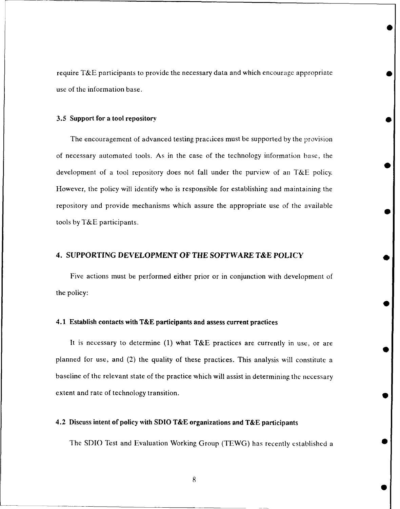require T&E participants to provide the necessary data and which encourage appropriate use of the information base.

#### **3.5** Support for a tool repository

The encouragement of advanced testing practices must be supported by the provision of necessary automated tools. As in the case of the technology information base, the development of a tool repository does not fall under the purview of an T&E policy. However, the policy will identify who is responsible for establishing and maintaining the repository and provide mechanisms which assure the appropriate use of the available tools **by** T&E participants.

## **4. SUPPORTING DEVELOPMENT OF** *THE* **SOFTWARE T&E** POLICY

Five actions must **be** performed either prior or in conjunction with development of the policy:

#### 4.1 Establish contacts **with T&E** participants **and** assess current practices

It is necessary to determine **(1)** what **T&E** practices are currently in use, or are planned for use, and (2) the quality of these practices. This analysis will constitute a baseline of the relevant state of the practice which will assist in determining the necessary extent and rate of technology transition. **0**

## 4.2 Discuss intent of policy with **SDIO T&E** organizations **and T&E participants**

The SDIO Test and Evaluation Working Group (TEWG) has recently established a **0**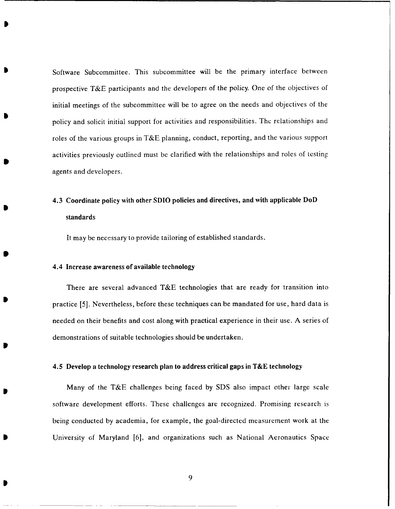Software Subcommittee. This subcommittee will be the primary interface between prospective T&E participants and the developers of the policy. One of the objectives of initial meetings of the subcommittee will be to agree on the needs and objectives of the policy and solicit initial support for activities and responsibilities. The relationships and roles of the various groups in T&E planning, conduct, reporting, and the various support activities previously outlined must be clarified with the relationships and roles of testing agents and developers.

# 4.3 Coordinate policy with other **SDIO** policies and directives, and with **applicable DoD** standards

It may be necessary to provide tailoring of established standards.

## 4.4 Increase awareness of available technology

There are several advanced **T&E** technologies that are ready for transition into practice **[5].** Nevertheless, before these techniques can be mandated for use, hard data is needed on their benefits and cost along with practical experience in their use. **A** series of demonstrations of suitable technologies should be undertaken.

#### 4.5 Develop a technology research plan to address critical gaps in **T&E** technology

Many of the T&E challenges being faced **by SDS** also impact other large scale software development efforts. These challenges are recognized. Promising research **is** being conducted **by** academia, for example, the goal-directed measurement work at the University of Maryland **[61,** and organizations such as National Aeronautics Space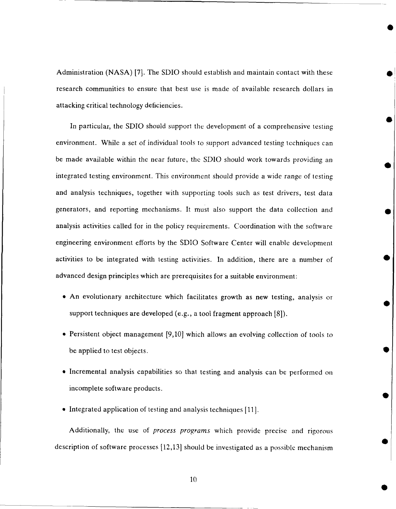Administration (NASA) [7]. The SDIO should establish and maintain contact with these research communities to ensure that best use is made of available research dollars in attacking critical technology deficiencies.

In particular, the SDIO should support the development of a comprehensive testing environment. While a set of individual tools to support advanced testing techniques can be made available within the near future, the SDIO should work towards providing an integrated testing environment. This environment should provide a wide range of testing and analysis techniques, together with supporting tools such as test drivers, test data generators, and reporting mechanisms. It must also support the data collection and analysis activities called for in the policy requirements. Coordination with the software engineering environment efforts by the SDIO Software Center will enable development activities to be integrated with testing activities. In addition, there are a number of advanced design principles which are prerequisites for a suitable environment:

- " An evolutionary architecture which facilitates growth as new testing, analysis or support techniques are developed (e.g., a tool fragment approach [8]).
- **"** Persistent object management [9,10] which allows an evolving collection of tools to be applied to test objects.
- **"** Incremental analysis capabilities so that testing and analysis can be performed on incomplete software products.
- Integrated application of testing and analysis techniques [11].

Additionally, the use of *process programs* which provide precise and rigorous description of software processes [12,13] should be investigated as a possible mechanism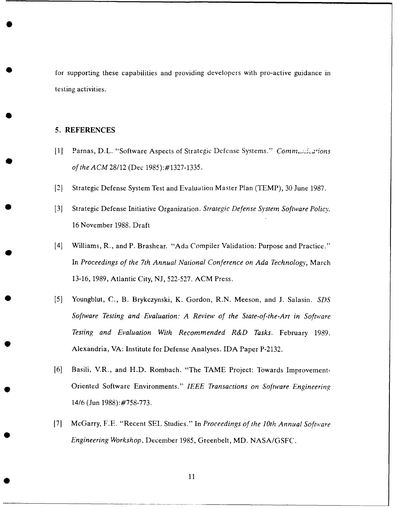for supporting these capabilities and providing developers with pro-active guidance in testing activities.

# **5. REFERENCES**

- **[11]** Parnas, D.L. "Software Aspects of Strategic Defense Systems." *Comm.;:,'ions of the ACM* 28/12 (Dec 1985):#1327-1335.
- [2] Strategic Defense System Test and Evaluation Master Plan (TEMP), 30 June 1987.
- [3] Strategic Defense Initiative Organization. *Strategic Defense System Software Policy.* 16 November 1988. Draft
- [4] Williams, R., and P. Brashear. "Ada Compiler Validation: Purpose and Practice." In *Proceedings of the 7th Annual National Conference on Ada Technology,* March 13-16, 1989, Atlantic City, NJ, 522-527. ACM Press.
- [5] Youngblut, C., B. Brykczynski, K. Gordon, R.N. Meeson, and J. Salasin. *SDS Software Testing and Evaluation: A Review of the State-of-the-Art in Software Testing and Evaluation With Recommended R&D Tasks.* February 1989. Alexandria, VA: Institute for Defense Analyses. IDA Paper P-2132.
- **16]** Basili, V.R., and H.D. Rombach. "The TAME Project: Towards Improvement-Oriented Software Environments." *IEEE Transactions on Software Engineering* 14/6 (Jun 1988):#758-773.
- [7] McGarry, F.E. "Recent SEL Studies." In *Proceedings of the 10th Annual Software Engineering Workshop,* December 1985, Greenbelt, MD. NASA/GSFC.